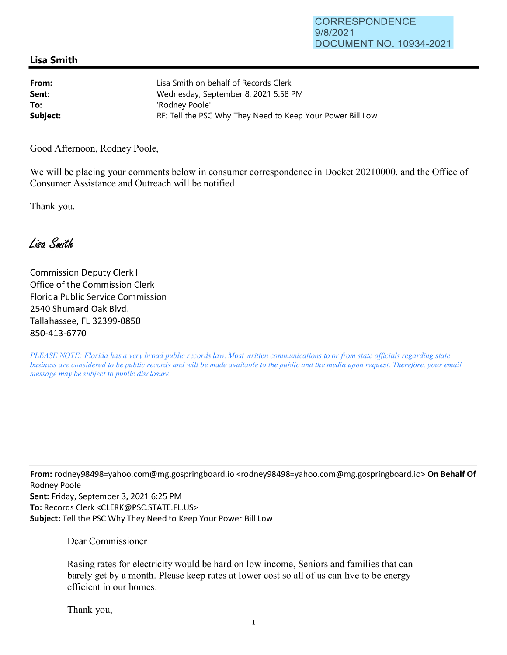## CORRESPONDENCE 9/8/2021 DOCUMENT NO. 10934-2021

## **Lisa Smith**

| From:    | Lisa Smith on behalf of Records Clerk                      |
|----------|------------------------------------------------------------|
| Sent:    | Wednesday, September 8, 2021 5:58 PM                       |
| To:      | 'Rodnev Poole'                                             |
| Subject: | RE: Tell the PSC Why They Need to Keep Your Power Bill Low |

Good Afternoon, Rodney Poole,

We will be placing your comments below in consumer correspondence in Docket 20210000, and the Office of Consumer Assistance and Outreach will be notified.

Thank you.

Lisa Smith

Commission Deputy Clerk I Office of the Commission Clerk Florida Public Service Commission 2540 Shumard Oak Blvd. Tallahassee, FL 32399-0850 850-413-6770

*PLEASE NOTE: Florida has a very broad public records law. Most written communications to or from state officials regarding state business are considered to be public records and will be made available to the public and the media upon request. Therefore, your email message may be subject to public disclosure.* 

**From:** rodney98498=yahoo.com@mg.gospringboard.io <rodney98498=yahoo.com@mg.gospringboard.io> **On Behalf Of**  Rodney Poole **Sent:** Friday, September 3, 2021 6:25 PM **To:** Records Clerk <CLERK@PSC.STATE.FL.US> **Subject:** Tell the PSC Why They Need to Keep Your Power Bill Low

Dear Commissioner

Rasing rates for electricity would be hard on low income, Seniors and families that can barely get by a month. Please keep rates at lower cost so all of us can live to be energy efficient in our homes.

Thank you,